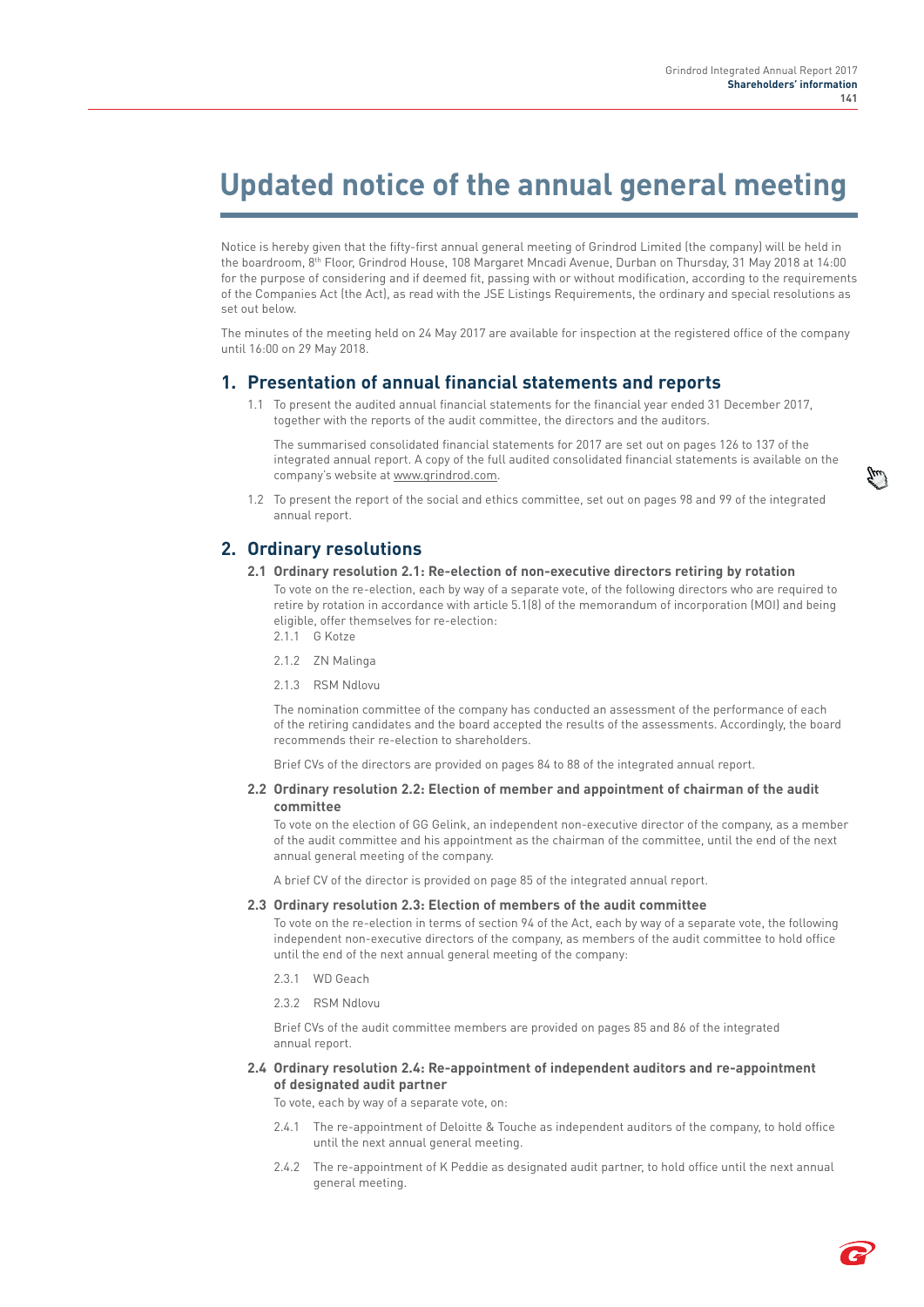# **Updated notice of the annual general meeting**

Notice is hereby given that the fifty-first annual general meeting of Grindrod Limited (the company) will be held in the boardroom, 8th Floor, Grindrod House, 108 Margaret Mncadi Avenue, Durban on Thursday, 31 May 2018 at 14:00 for the purpose of considering and if deemed fit, passing with or without modification, according to the requirements of the Companies Act (the Act), as read with the JSE Listings Requirements, the ordinary and special resolutions as set out below.

The minutes of the meeting held on 24 May 2017 are available for inspection at the registered office of the company until 16:00 on 29 May 2018.

### **1. Presentation of annual financial statements and reports**

1.1 To present the audited annual financial statements for the financial year ended 31 December 2017, together with the reports of the audit committee, the directors and the auditors.

The summarised consolidated financial statements for 2017 are set out on pages 126 to 137 of the integrated annual report. A copy of the full audited consolidated financial statements is available on the company's website at www.grindrod.com.

1.2 To present the report of the social and ethics committee, set out on pages 98 and 99 of the integrated annual report.

### **2. Ordinary resolutions**

**2.1 Ordinary resolution 2.1: Re-election of non-executive directors retiring by rotation**

To vote on the re-election, each by way of a separate vote, of the following directors who are required to retire by rotation in accordance with article 5.1(8) of the memorandum of incorporation (MOI) and being eligible, offer themselves for re-election:

- 2.1.1 G Kotze
- 2.1.2 ZN Malinga
- 2.1.3 RSM Ndlovu

The nomination committee of the company has conducted an assessment of the performance of each of the retiring candidates and the board accepted the results of the assessments. Accordingly, the board recommends their re-election to shareholders.

Brief CVs of the directors are provided on pages 84 to 88 of the integrated annual report.

#### **2.2 Ordinary resolution 2.2: Election of member and appointment of chairman of the audit committee**

To vote on the election of GG Gelink, an independent non-executive director of the company, as a member of the audit committee and his appointment as the chairman of the committee, until the end of the next annual general meeting of the company.

A brief CV of the director is provided on page 85 of the integrated annual report.

#### **2.3 Ordinary resolution 2.3: Election of members of the audit committee**

To vote on the re-election in terms of section 94 of the Act, each by way of a separate vote, the following independent non-executive directors of the company, as members of the audit committee to hold office until the end of the next annual general meeting of the company:

- 2.3.1 WD Geach
- 2.3.2 RSM Ndlovu

Brief CVs of the audit committee members are provided on pages 85 and 86 of the integrated annual report.

#### **2.4 Ordinary resolution 2.4: Re-appointment of independent auditors and re-appointment of designated audit partner**

To vote, each by way of a separate vote, on:

- 2.4.1 The re-appointment of Deloitte & Touche as independent auditors of the company, to hold office until the next annual general meeting.
- 2.4.2 The re-appointment of K Peddie as designated audit partner, to hold office until the next annual general meeting.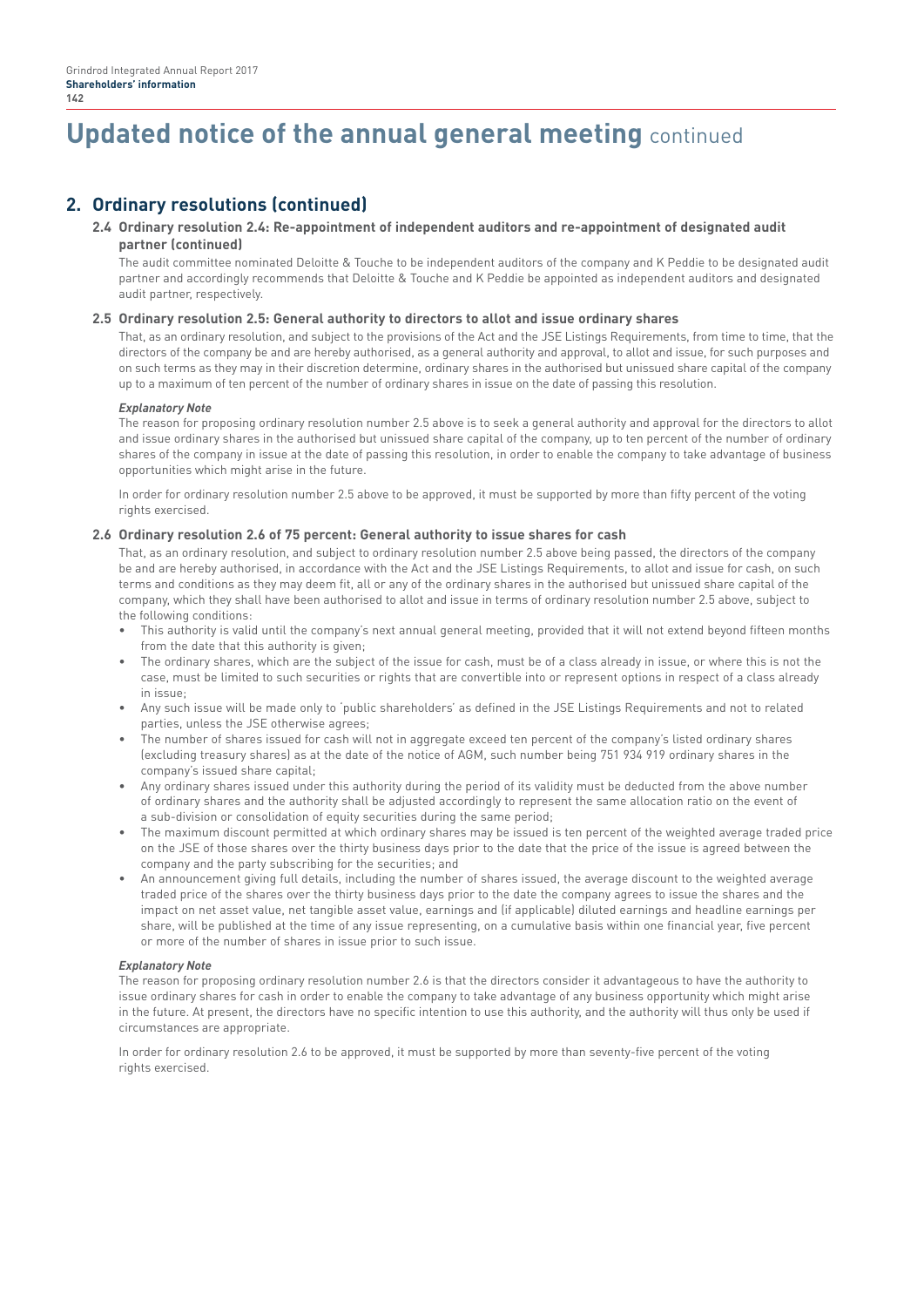# **Updated notice of the annual general meeting** continued

# **2. Ordinary resolutions (continued)**

#### **2.4 Ordinary resolution 2.4: Re-appointment of independent auditors and re-appointment of designated audit partner (continued)**

The audit committee nominated Deloitte & Touche to be independent auditors of the company and K Peddie to be designated audit partner and accordingly recommends that Deloitte & Touche and K Peddie be appointed as independent auditors and designated audit partner, respectively.

#### **2.5 Ordinary resolution 2.5: General authority to directors to allot and issue ordinary shares**

That, as an ordinary resolution, and subject to the provisions of the Act and the JSE Listings Requirements, from time to time, that the directors of the company be and are hereby authorised, as a general authority and approval, to allot and issue, for such purposes and on such terms as they may in their discretion determine, ordinary shares in the authorised but unissued share capital of the company up to a maximum of ten percent of the number of ordinary shares in issue on the date of passing this resolution.

#### *Explanatory Note*

The reason for proposing ordinary resolution number 2.5 above is to seek a general authority and approval for the directors to allot and issue ordinary shares in the authorised but unissued share capital of the company, up to ten percent of the number of ordinary shares of the company in issue at the date of passing this resolution, in order to enable the company to take advantage of business opportunities which might arise in the future.

In order for ordinary resolution number 2.5 above to be approved, it must be supported by more than fifty percent of the voting rights exercised.

#### **2.6 Ordinary resolution 2.6 of 75 percent: General authority to issue shares for cash**

That, as an ordinary resolution, and subject to ordinary resolution number 2.5 above being passed, the directors of the company be and are hereby authorised, in accordance with the Act and the JSE Listings Requirements, to allot and issue for cash, on such terms and conditions as they may deem fit, all or any of the ordinary shares in the authorised but unissued share capital of the company, which they shall have been authorised to allot and issue in terms of ordinary resolution number 2.5 above, subject to the following conditions:

- This authority is valid until the company's next annual general meeting, provided that it will not extend beyond fifteen months from the date that this authority is given;
- The ordinary shares, which are the subject of the issue for cash, must be of a class already in issue, or where this is not the case, must be limited to such securities or rights that are convertible into or represent options in respect of a class already in issue;
- Any such issue will be made only to 'public shareholders' as defined in the JSE Listings Requirements and not to related parties, unless the JSE otherwise agrees;
- The number of shares issued for cash will not in aggregate exceed ten percent of the company's listed ordinary shares (excluding treasury shares) as at the date of the notice of AGM, such number being 751 934 919 ordinary shares in the company's issued share capital;
- Any ordinary shares issued under this authority during the period of its validity must be deducted from the above number of ordinary shares and the authority shall be adjusted accordingly to represent the same allocation ratio on the event of a sub-division or consolidation of equity securities during the same period;
- The maximum discount permitted at which ordinary shares may be issued is ten percent of the weighted average traded price on the JSE of those shares over the thirty business days prior to the date that the price of the issue is agreed between the company and the party subscribing for the securities; and
- An announcement giving full details, including the number of shares issued, the average discount to the weighted average traded price of the shares over the thirty business days prior to the date the company agrees to issue the shares and the impact on net asset value, net tangible asset value, earnings and (if applicable) diluted earnings and headline earnings per share, will be published at the time of any issue representing, on a cumulative basis within one financial year, five percent or more of the number of shares in issue prior to such issue.

#### *Explanatory Note*

The reason for proposing ordinary resolution number 2.6 is that the directors consider it advantageous to have the authority to issue ordinary shares for cash in order to enable the company to take advantage of any business opportunity which might arise in the future. At present, the directors have no specific intention to use this authority, and the authority will thus only be used if circumstances are appropriate.

In order for ordinary resolution 2.6 to be approved, it must be supported by more than seventy-five percent of the voting rights exercised.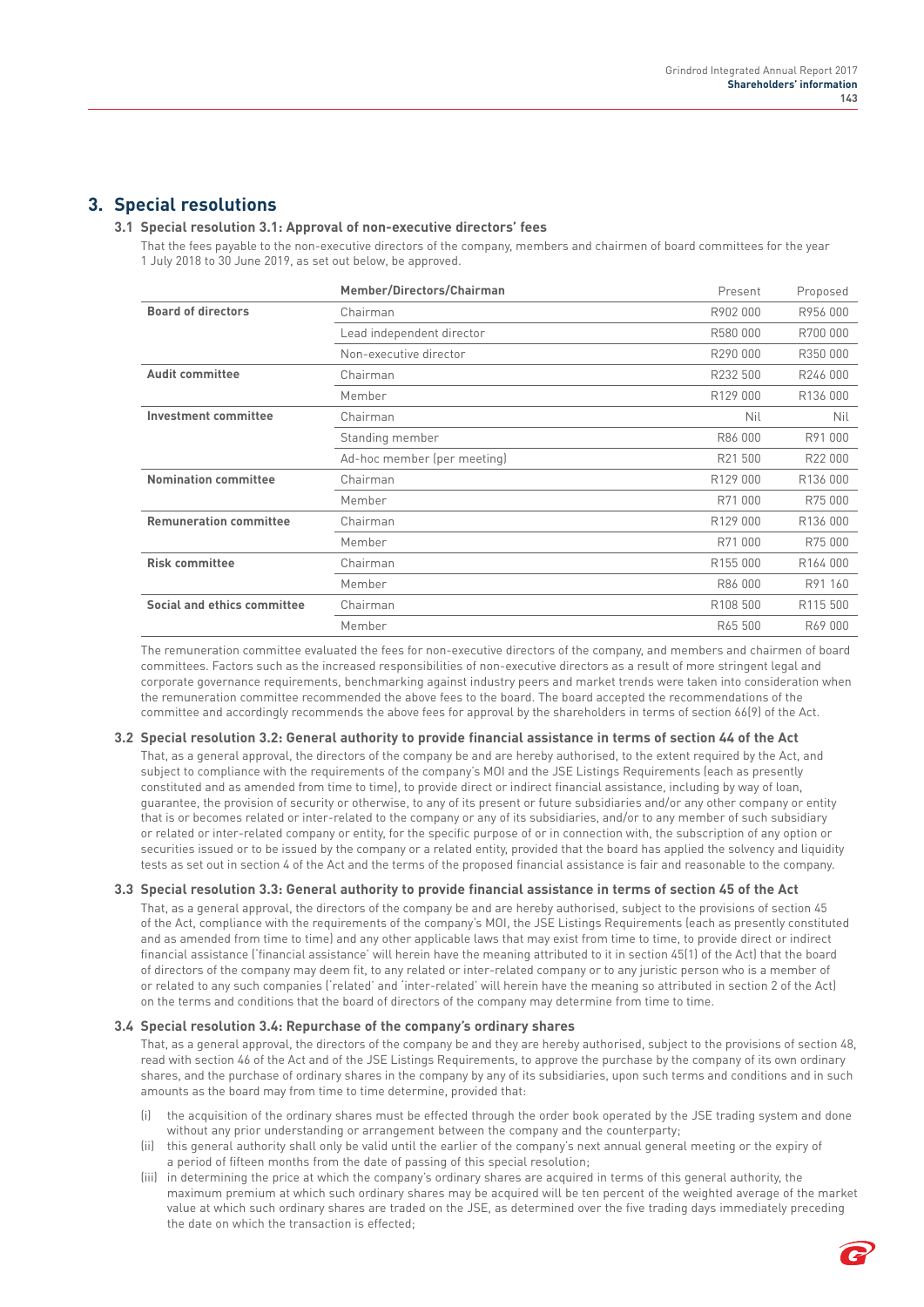## **3. Special resolutions**

### **3.1 Special resolution 3.1: Approval of non-executive directors' fees**

That the fees payable to the non-executive directors of the company, members and chairmen of board committees for the year 1 July 2018 to 30 June 2019, as set out below, be approved.

|                               | Member/Directors/Chairman   | Present  | Proposed             |
|-------------------------------|-----------------------------|----------|----------------------|
| <b>Board of directors</b>     | Chairman                    | R902 000 | R956 000             |
|                               | Lead independent director   | R580 000 | R700 000             |
|                               | Non-executive director      | R290 000 | R350 000             |
| <b>Audit committee</b>        | Chairman                    | R232 500 | R246 000             |
|                               | Member                      | R129 000 | R136 000             |
| <b>Investment committee</b>   | Chairman                    | Nil      | Nil                  |
|                               | Standing member             | R86 000  | R91 000              |
|                               | Ad-hoc member (per meeting) | R21 500  | R22 000              |
| <b>Nomination committee</b>   | Chairman                    | R129 000 | R136 000             |
|                               | Member                      | R71 000  | R75 000              |
| <b>Remuneration committee</b> | Chairman                    | R129 000 | R136 000             |
|                               | Member                      | R71 000  | R75 000              |
| <b>Risk committee</b>         | Chairman                    | R155 000 | R <sub>164</sub> 000 |
|                               | Member                      | R86 000  | R91 160              |
| Social and ethics committee   | Chairman                    | R108 500 | R115 500             |
|                               | Member                      | R65 500  | R69 000              |

The remuneration committee evaluated the fees for non-executive directors of the company, and members and chairmen of board committees. Factors such as the increased responsibilities of non-executive directors as a result of more stringent legal and corporate governance requirements, benchmarking against industry peers and market trends were taken into consideration when the remuneration committee recommended the above fees to the board. The board accepted the recommendations of the committee and accordingly recommends the above fees for approval by the shareholders in terms of section 66(9) of the Act.

#### **3.2 Special resolution 3.2: General authority to provide financial assistance in terms of section 44 of the Act**

That, as a general approval, the directors of the company be and are hereby authorised, to the extent required by the Act, and subject to compliance with the requirements of the company's MOI and the JSE Listings Requirements (each as presently constituted and as amended from time to time), to provide direct or indirect financial assistance, including by way of loan, guarantee, the provision of security or otherwise, to any of its present or future subsidiaries and/or any other company or entity that is or becomes related or inter-related to the company or any of its subsidiaries, and/or to any member of such subsidiary or related or inter-related company or entity, for the specific purpose of or in connection with, the subscription of any option or securities issued or to be issued by the company or a related entity, provided that the board has applied the solvency and liquidity tests as set out in section 4 of the Act and the terms of the proposed financial assistance is fair and reasonable to the company.

#### **3.3 Special resolution 3.3: General authority to provide financial assistance in terms of section 45 of the Act**

That, as a general approval, the directors of the company be and are hereby authorised, subject to the provisions of section 45 of the Act, compliance with the requirements of the company's MOI, the JSE Listings Requirements (each as presently constituted and as amended from time to time) and any other applicable laws that may exist from time to time, to provide direct or indirect financial assistance ('financial assistance' will herein have the meaning attributed to it in section 45(1) of the Act) that the board of directors of the company may deem fit, to any related or inter-related company or to any juristic person who is a member of or related to any such companies ('related' and 'inter-related' will herein have the meaning so attributed in section 2 of the Act) on the terms and conditions that the board of directors of the company may determine from time to time.

#### **3.4 Special resolution 3.4: Repurchase of the company's ordinary shares**

That, as a general approval, the directors of the company be and they are hereby authorised, subject to the provisions of section 48, read with section 46 of the Act and of the JSE Listings Requirements, to approve the purchase by the company of its own ordinary shares, and the purchase of ordinary shares in the company by any of its subsidiaries, upon such terms and conditions and in such amounts as the board may from time to time determine, provided that:

- the acquisition of the ordinary shares must be effected through the order book operated by the JSE trading system and done without any prior understanding or arrangement between the company and the counterparty;
- (ii) this general authority shall only be valid until the earlier of the company's next annual general meeting or the expiry of a period of fifteen months from the date of passing of this special resolution;
- (iii) in determining the price at which the company's ordinary shares are acquired in terms of this general authority, the maximum premium at which such ordinary shares may be acquired will be ten percent of the weighted average of the market value at which such ordinary shares are traded on the JSE, as determined over the five trading days immediately preceding the date on which the transaction is effected;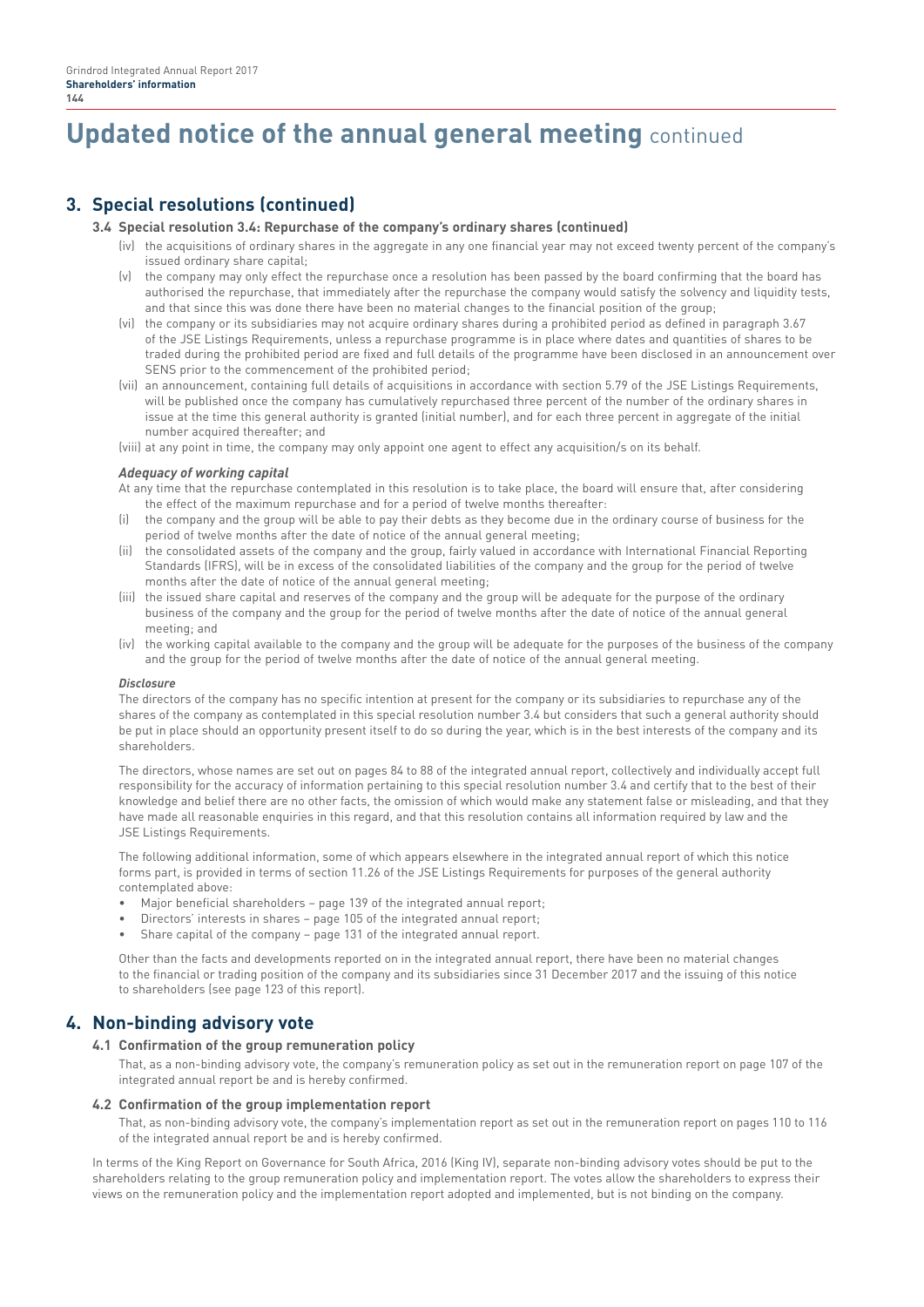# **Updated notice of the annual general meeting** continued

# **3. Special resolutions (continued)**

#### **3.4 Special resolution 3.4: Repurchase of the company's ordinary shares (continued)**

- (iv) the acquisitions of ordinary shares in the aggregate in any one financial year may not exceed twenty percent of the company's issued ordinary share capital;
- (v) the company may only effect the repurchase once a resolution has been passed by the board confirming that the board has authorised the repurchase, that immediately after the repurchase the company would satisfy the solvency and liquidity tests, and that since this was done there have been no material changes to the financial position of the group;
- (vi) the company or its subsidiaries may not acquire ordinary shares during a prohibited period as defined in paragraph 3.67 of the JSE Listings Requirements, unless a repurchase programme is in place where dates and quantities of shares to be traded during the prohibited period are fixed and full details of the programme have been disclosed in an announcement over SENS prior to the commencement of the prohibited period;
- (vii) an announcement, containing full details of acquisitions in accordance with section 5.79 of the JSE Listings Requirements, will be published once the company has cumulatively repurchased three percent of the number of the ordinary shares in issue at the time this general authority is granted (initial number), and for each three percent in aggregate of the initial number acquired thereafter; and
- (viii) at any point in time, the company may only appoint one agent to effect any acquisition/s on its behalf.

#### *Adequacy of working capital*

At any time that the repurchase contemplated in this resolution is to take place, the board will ensure that, after considering the effect of the maximum repurchase and for a period of twelve months thereafter:

- (i) the company and the group will be able to pay their debts as they become due in the ordinary course of business for the period of twelve months after the date of notice of the annual general meeting;
- (ii) the consolidated assets of the company and the group, fairly valued in accordance with International Financial Reporting Standards (IFRS), will be in excess of the consolidated liabilities of the company and the group for the period of twelve months after the date of notice of the annual general meeting;
- (iii) the issued share capital and reserves of the company and the group will be adequate for the purpose of the ordinary business of the company and the group for the period of twelve months after the date of notice of the annual general meeting; and
- (iv) the working capital available to the company and the group will be adequate for the purposes of the business of the company and the group for the period of twelve months after the date of notice of the annual general meeting.

#### *Disclosure*

The directors of the company has no specific intention at present for the company or its subsidiaries to repurchase any of the shares of the company as contemplated in this special resolution number 3.4 but considers that such a general authority should be put in place should an opportunity present itself to do so during the year, which is in the best interests of the company and its shareholders.

The directors, whose names are set out on pages 84 to 88 of the integrated annual report, collectively and individually accept full responsibility for the accuracy of information pertaining to this special resolution number 3.4 and certify that to the best of their knowledge and belief there are no other facts, the omission of which would make any statement false or misleading, and that they have made all reasonable enquiries in this regard, and that this resolution contains all information required by law and the JSE Listings Requirements.

The following additional information, some of which appears elsewhere in the integrated annual report of which this notice forms part, is provided in terms of section 11.26 of the JSE Listings Requirements for purposes of the general authority contemplated above:

- Major beneficial shareholders page 139 of the integrated annual report;
- Directors' interests in shares page 105 of the integrated annual report;
- Share capital of the company page 131 of the integrated annual report.

Other than the facts and developments reported on in the integrated annual report, there have been no material changes to the financial or trading position of the company and its subsidiaries since 31 December 2017 and the issuing of this notice to shareholders (see page 123 of this report).

## **4. Non-binding advisory vote**

#### **4.1 Confirmation of the group remuneration policy**

That, as a non-binding advisory vote, the company's remuneration policy as set out in the remuneration report on page 107 of the integrated annual report be and is hereby confirmed.

#### **4.2 Confirmation of the group implementation report**

That, as non-binding advisory vote, the company's implementation report as set out in the remuneration report on pages 110 to 116 of the integrated annual report be and is hereby confirmed.

In terms of the King Report on Governance for South Africa, 2016 (King IV), separate non-binding advisory votes should be put to the shareholders relating to the group remuneration policy and implementation report. The votes allow the shareholders to express their views on the remuneration policy and the implementation report adopted and implemented, but is not binding on the company.